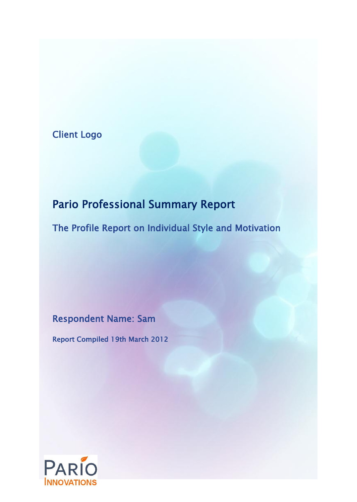## Client Logo

# Pario Professional Summary Report

The Profile Report on Individual Style and Motivation

Respondent Name: Sam

Report Compiled 19th March 2012

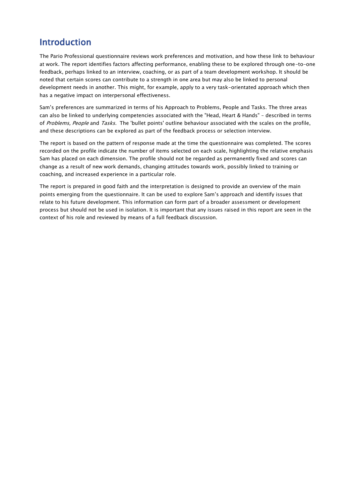### Introduction

The Pario Professional questionnaire reviews work preferences and motivation, and how these link to behaviour at work. The report identifies factors affecting performance, enabling these to be explored through one-to-one feedback, perhaps linked to an interview, coaching, or as part of a team development workshop. It should be noted that certain scores can contribute to a strength in one area but may also be linked to personal development needs in another. This might, for example, apply to a very task-orientated approach which then has a negative impact on interpersonal effectiveness.

Sam's preferences are summarized in terms of his Approach to Problems, People and Tasks. The three areas can also be linked to underlying competencies associated with the "Head, Heart & Hands" – described in terms of Problems, People and Tasks. The 'bullet points' outline behaviour associated with the scales on the profile, and these descriptions can be explored as part of the feedback process or selection interview.

The report is based on the pattern of response made at the time the questionnaire was completed. The scores recorded on the profile indicate the number of items selected on each scale, highlighting the relative emphasis Sam has placed on each dimension. The profile should not be regarded as permanently fixed and scores can change as a result of new work demands, changing attitudes towards work, possibly linked to training or coaching, and increased experience in a particular role.

The report is prepared in good faith and the interpretation is designed to provide an overview of the main points emerging from the questionnaire. It can be used to explore Sam's approach and identify issues that relate to his future development. This information can form part of a broader assessment or development process but should not be used in isolation. It is important that any issues raised in this report are seen in the context of his role and reviewed by means of a full feedback discussion.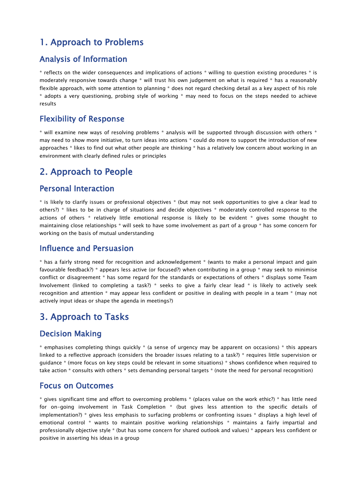### 1. Approach to Problems

#### Analysis of Information

\* reflects on the wider consequences and implications of actions \* willing to question existing procedures \* is moderately responsive towards change \* will trust his own judgement on what is required \* has a reasonably flexible approach, with some attention to planning \* does not regard checking detail as a key aspect of his role \* adopts a very questioning, probing style of working \* may need to focus on the steps needed to achieve results

#### Flexibility of Response

\* will examine new ways of resolving problems \* analysis will be supported through discussion with others \* may need to show more initiative, to turn ideas into actions \* could do more to support the introduction of new approaches \* likes to find out what other people are thinking \* has a relatively low concern about working in an environment with clearly defined rules or principles

### 2. Approach to People

#### Personal Interaction

\* is likely to clarify issues or professional objectives \* (but may not seek opportunities to give a clear lead to others?) \* likes to be in charge of situations and decide objectives \* moderately controlled response to the actions of others \* relatively little emotional response is likely to be evident \* gives some thought to maintaining close relationships \* will seek to have some involvement as part of a group \* has some concern for working on the basis of mutual understanding

#### Influence and Persuasion

\* has a fairly strong need for recognition and acknowledgement \* (wants to make a personal impact and gain favourable feedback?) \* appears less active (or focused?) when contributing in a group \* may seek to minimise conflict or disagreement \* has some regard for the standards or expectations of others \* displays some Team Involvement (linked to completing a task?) \* seeks to give a fairly clear lead \* is likely to actively seek recognition and attention \* may appear less confident or positive in dealing with people in a team \* (may not actively input ideas or shape the agenda in meetings?)

### 3. Approach to Tasks

#### Decision Making

 $*$  emphasises completing things quickly  $*$  (a sense of urgency may be apparent on occasions)  $*$  this appears linked to a reflective approach (considers the broader issues relating to a task?) \* requires little supervision or guidance \* (more focus on key steps could be relevant in some situations) \* shows confidence when required to take action \* consults with others \* sets demanding personal targets \* (note the need for personal recognition)

#### Focus on Outcomes

\* gives significant time and effort to overcoming problems \* (places value on the work ethic?) \* has little need for on-going involvement in Task Completion \* (but gives less attention to the specific details of implementation?) \* gives less emphasis to surfacing problems or confronting issues \* displays a high level of emotional control \* wants to maintain positive working relationships \* maintains a fairly impartial and professionally objective style \* (but has some concern for shared outlook and values) \* appears less confident or positive in asserting his ideas in a group